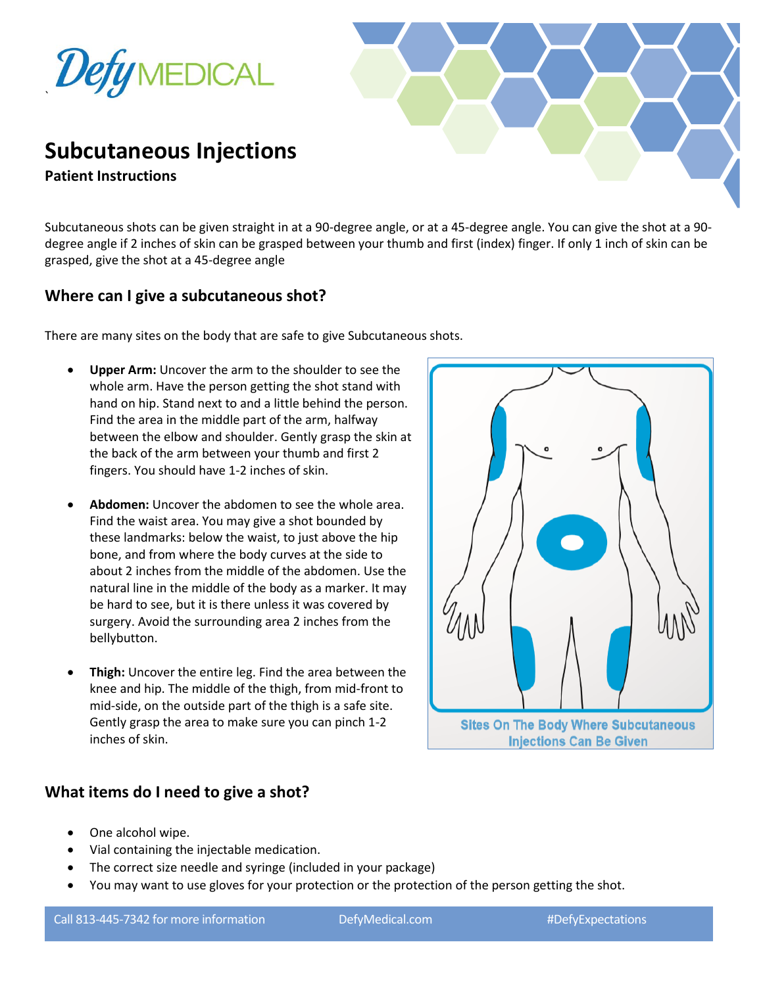



**Patient Instructions**

Subcutaneous shots can be given straight in at a 90-degree angle, or at a 45-degree angle. You can give the shot at a 90 degree angle if 2 inches of skin can be grasped between your thumb and first (index) finger. If only 1 inch of skin can be grasped, give the shot at a 45-degree angle

## **Where can I give a subcutaneous shot?**

There are many sites on the body that are safe to give Subcutaneous shots.

- **Upper Arm:** Uncover the arm to the shoulder to see the whole arm. Have the person getting the shot stand with hand on hip. Stand next to and a little behind the person. Find the area in the middle part of the arm, halfway between the elbow and shoulder. Gently grasp the skin at the back of the arm between your thumb and first 2 fingers. You should have 1-2 inches of skin.
- **Abdomen:** Uncover the abdomen to see the whole area. Find the waist area. You may give a shot bounded by these landmarks: below the waist, to just above the hip bone, and from where the body curves at the side to about 2 inches from the middle of the abdomen. Use the natural line in the middle of the body as a marker. It may be hard to see, but it is there unless it was covered by surgery. Avoid the surrounding area 2 inches from the bellybutton.
- **Thigh:** Uncover the entire leg. Find the area between the knee and hip. The middle of the thigh, from mid-front to mid-side, on the outside part of the thigh is a safe site. Gently grasp the area to make sure you can pinch 1-2 inches of skin.

## **What items do I need to give a shot?**

- One alcohol wipe.
- Vial containing the injectable medication.
- The correct size needle and syringe (included in your package)
- You may want to use gloves for your protection or the protection of the person getting the shot.